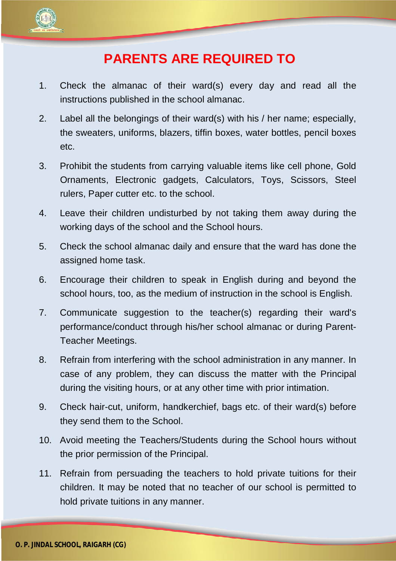

## **PARENTS ARE REQUIRED TO**

- 1. Check the almanac of their ward(s) every day and read all the instructions published in the school almanac.
- 2. Label all the belongings of their ward(s) with his / her name; especially, the sweaters, uniforms, blazers, tiffin boxes, water bottles, pencil boxes etc.
- 3. Prohibit the students from carrying valuable items like cell phone, Gold Ornaments, Electronic gadgets, Calculators, Toys, Scissors, Steel rulers, Paper cutter etc. to the school.
- 4. Leave their children undisturbed by not taking them away during the working days of the school and the School hours.
- 5. Check the school almanac daily and ensure that the ward has done the assigned home task.
- 6. Encourage their children to speak in English during and beyond the school hours, too, as the medium of instruction in the school is English.
- 7. Communicate suggestion to the teacher(s) regarding their ward's performance/conduct through his/her school almanac or during Parent-Teacher Meetings.
- 8. Refrain from interfering with the school administration in any manner. In case of any problem, they can discuss the matter with the Principal during the visiting hours, or at any other time with prior intimation.
- 9. Check hair-cut, uniform, handkerchief, bags etc. of their ward(s) before they send them to the School.
- 10. Avoid meeting the Teachers/Students during the School hours without the prior permission of the Principal.
- 11. Refrain from persuading the teachers to hold private tuitions for their children. It may be noted that no teacher of our school is permitted to hold private tuitions in any manner.